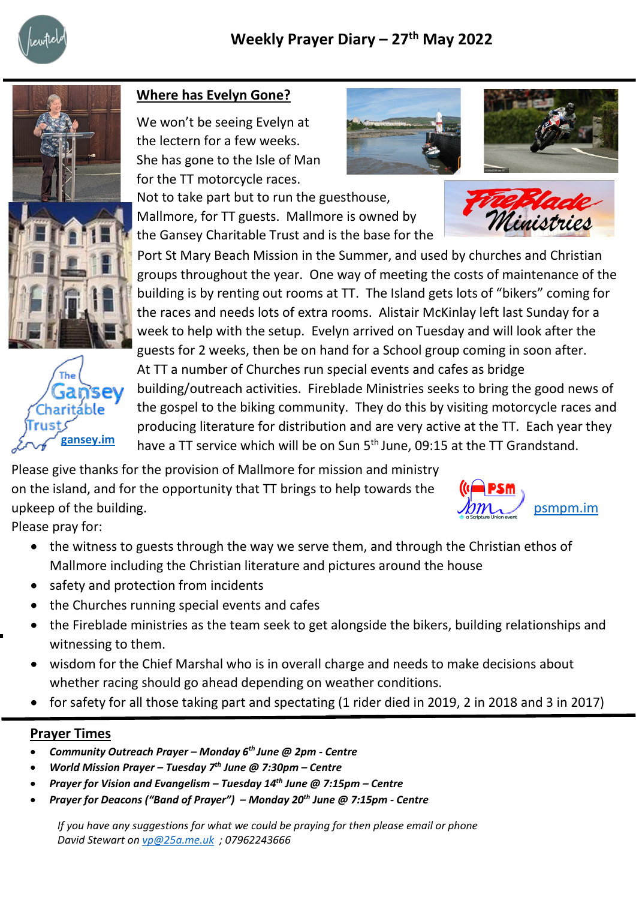





## **Where has Evelyn Gone?**

We won't be seeing Evelyn at the lectern for a few weeks. She has gone to the Isle of Man for the TT motorcycle races.

Not to take part but to run the guesthouse, Mallmore, for TT guests. Mallmore is owned by the Gansey Charitable Trust and is the base for the

**Famsey** building/outreach activities. Fireblade Ministries seeks to bring the good news of Port St Mary Beach Mission in the Summer, and used by churches and Christian groups throughout the year. One way of meeting the costs of maintenance of the building is by renting out rooms at TT. The Island gets lots of "bikers" coming for the races and needs lots of extra rooms. Alistair McKinlay left last Sunday for a week to help with the setup. Evelyn arrived on Tuesday and will look after the guests for 2 weeks, then be on hand for a School group coming in soon after. At TT a number of Churches run special events and cafes as bridge the gospel to the biking community. They do this by visiting motorcycle races and producing literature for distribution and are very active at the TT. Each year they have a TT service which will be on Sun 5<sup>th</sup> June, 09:15 at the TT Grandstand.

Please give thanks for the provision of Mallmore for mission and ministry on the island, and for the opportunity that TT brings to help towards the upkeep of the building.

[psmpm.im](https://psmbm.im/)

Please pray for:

- the witness to guests through the way we serve them, and through the Christian ethos of
	- Mallmore including the Christian literature and pictures around the house
- safety and protection from incidents
- the Churches running special events and cafes
- the Fireblade ministries as the team seek to get alongside the bikers, building relationships and witnessing to them.
- wisdom for the Chief Marshal who is in overall charge and needs to make decisions about whether racing should go ahead depending on weather conditions.
- for safety for all those taking part and spectating (1 rider died in 2019, 2 in 2018 and 3 in 2017)

## **Prayer Times**

- *Community Outreach Prayer – Monday 6th June @ 2pm - Centre*
- *World Mission Prayer – Tuesday 7th June @ 7:30pm – Centre*
- *Prayer for Vision and Evangelism – Tuesday 14th June @ 7:15pm – Centre*
- *Prayer for Deacons ("Band of Prayer") – Monday 20th June @ 7:15pm - Centre*

*If you have any suggestions for what we could be praying for then please email or phone David Stewart on [vp@25a.me.uk](mailto:vp@25a.me.uk) ; 07962243666*